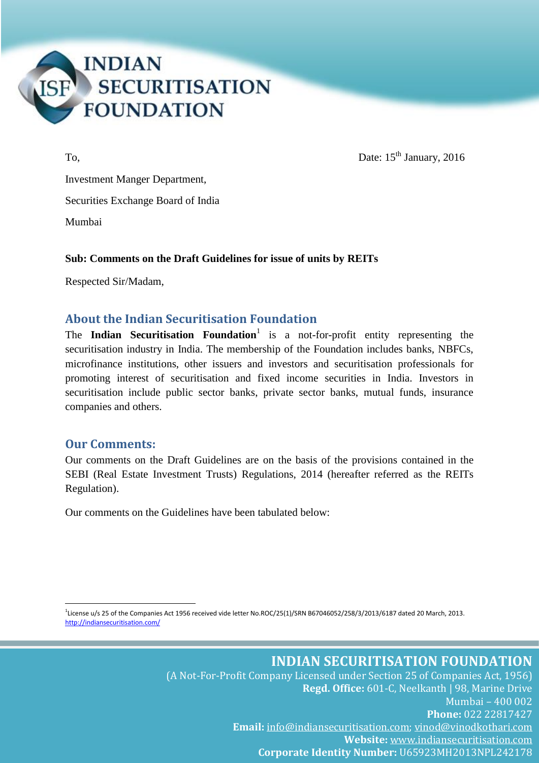

To, Date:  $15<sup>th</sup> January, 2016$ 

Investment Manger Department, Securities Exchange Board of India Mumbai

#### **Sub: Comments on the Draft Guidelines for issue of units by REITs**

Respected Sir/Madam,

### **About the Indian Securitisation Foundation**

The **Indian Securitisation Foundation**<sup>1</sup> is a not-for-profit entity representing the securitisation industry in India. The membership of the Foundation includes banks, NBFCs, microfinance institutions, other issuers and investors and securitisation professionals for promoting interest of securitisation and fixed income securities in India. Investors in securitisation include public sector banks, private sector banks, mutual funds, insurance companies and others.

### **Our Comments:**

1

Our comments on the Draft Guidelines are on the basis of the provisions contained in the SEBI (Real Estate Investment Trusts) Regulations, 2014 (hereafter referred as the REITs Regulation).

Our comments on the Guidelines have been tabulated below:

1 License u/s 25 of the Companies Act 1956 received vide letter No.ROC/25(1)/SRN B67046052/258/3/2013/6187 dated 20 March, 2013. <http://indiansecuritisation.com/>

> **INDIAN SECURITISATION FOUNDATION** (A Not-For-Profit Company Licensed under Section 25 of Companies Act, 1956)

**Regd. Office:** 601-C, Neelkanth | 98, Marine Drive Mumbai – 400 002 **Phone:** 022 22817427 **Email:** [info@indiansecuritisation.com;](mailto:info@indiansecuritisation.com) [vinod@vinodkothari.com](mailto:vinod@vinodkothari.com) **Website:** [www.indiansecuritisation.com](http://www.indiansecuritisation.com/) **Corporate Identity Number:** U65923MH2013NPL242178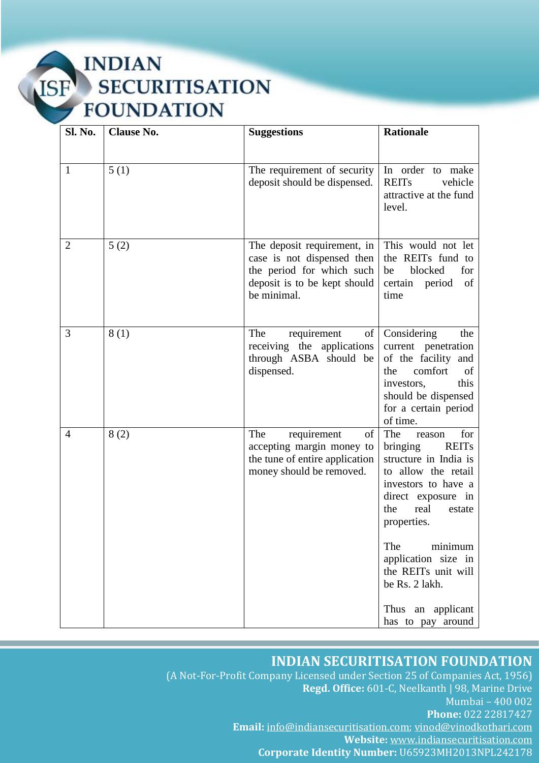**INDIAN** ISF **SECURITISATION FOUNDATION** 

| Sl. No.        | <b>Clause No.</b> | <b>Suggestions</b>                                                                                                                                                                                                  | <b>Rationale</b>                                                                                                                                                                                                                                                                                                  |
|----------------|-------------------|---------------------------------------------------------------------------------------------------------------------------------------------------------------------------------------------------------------------|-------------------------------------------------------------------------------------------------------------------------------------------------------------------------------------------------------------------------------------------------------------------------------------------------------------------|
|                |                   |                                                                                                                                                                                                                     |                                                                                                                                                                                                                                                                                                                   |
| 1              | 5(1)              | The requirement of security<br>deposit should be dispensed.                                                                                                                                                         | In order to make<br><b>REITs</b><br>vehicle<br>attractive at the fund<br>level.                                                                                                                                                                                                                                   |
| 2              | 5(2)              | The deposit requirement, in<br>case is not dispensed then<br>the period for which such<br>deposit is to be kept should<br>be minimal.                                                                               | This would not let<br>the REITs fund to<br>blocked<br>for<br>be<br>period<br>$\sigma f$<br>certain<br>time                                                                                                                                                                                                        |
| 3              | 8(1)              | The<br>requirement<br>of<br>receiving the applications<br>through ASBA should be<br>dispensed.                                                                                                                      | Considering<br>the<br>current penetration<br>of the facility and<br>comfort<br>the<br>of<br>this<br>investors,<br>should be dispensed<br>for a certain period<br>of time.                                                                                                                                         |
| $\overline{4}$ | 8(2)              | The<br>$% \left( \left( \mathcal{A},\mathcal{A}\right) \right) =\left( \mathcal{A},\mathcal{A}\right)$ of<br>requirement<br>accepting margin money to<br>the tune of entire application<br>money should be removed. | The<br>for<br>reason<br>bringing<br><b>REITs</b><br>structure in India is<br>to allow the retail<br>investors to have a<br>direct exposure in<br>real<br>the<br>estate<br>properties.<br>The<br>minimum<br>application size in<br>the REITs unit will<br>be Rs. 2 lakh.<br>Thus an applicant<br>has to pay around |

# **INDIAN SECURITISATION FOUNDATION**

(A Not-For-Profit Company Licensed under Section 25 of Companies Act, 1956) **Regd. Office:** 601-C, Neelkanth | 98, Marine Drive Mumbai – 400 002 **Phone:** 022 22817427 **Email:** [info@indiansecuritisation.com;](mailto:info@indiansecuritisation.com) [vinod@vinodkothari.com](mailto:vinod@vinodkothari.com) **Website:** [www.indiansecuritisation.com](http://www.indiansecuritisation.com/) **Corporate Identity Number:** U65923MH2013NPL242178